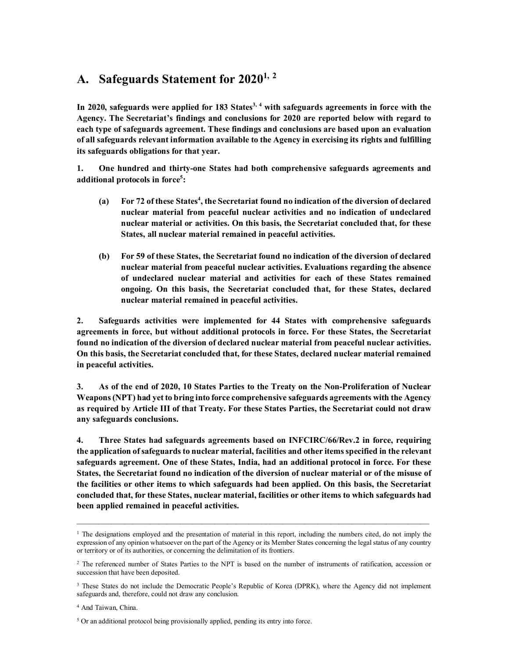# **A. Safeguards Statement for 20201, <sup>2</sup>**

**In 2020, safeguards were applied for 183 States3, <sup>4</sup> with safeguards agreements in force with the Agency. The Secretariat's findings and conclusions for 2020 are reported below with regard to each type of safeguards agreement. These findings and conclusions are based upon an evaluation of all safeguards relevant information available to the Agency in exercising its rights and fulfilling its safeguards obligations for that year.** 

**1. One hundred and thirty-one States had both comprehensive safeguards agreements and additional protocols in force<sup>5</sup> :** 

- **(a) For 72 of these States<sup>4</sup> , the Secretariat found no indication of the diversion of declared nuclear material from peaceful nuclear activities and no indication of undeclared nuclear material or activities. On this basis, the Secretariat concluded that, for these States, all nuclear material remained in peaceful activities.**
- **(b) For 59 of these States, the Secretariat found no indication of the diversion of declared nuclear material from peaceful nuclear activities. Evaluations regarding the absence of undeclared nuclear material and activities for each of these States remained ongoing. On this basis, the Secretariat concluded that, for these States, declared nuclear material remained in peaceful activities.**

**2. Safeguards activities were implemented for 44 States with comprehensive safeguards agreements in force, but without additional protocols in force. For these States, the Secretariat found no indication of the diversion of declared nuclear material from peaceful nuclear activities. On this basis, the Secretariat concluded that, for these States, declared nuclear material remained in peaceful activities.** 

**3. As of the end of 2020, 10 States Parties to the Treaty on the Non-Proliferation of Nuclear Weapons (NPT) had yet to bring into force comprehensive safeguards agreements with the Agency as required by Article III of that Treaty. For these States Parties, the Secretariat could not draw any safeguards conclusions.** 

**4. Three States had safeguards agreements based on INFCIRC/66/Rev.2 in force, requiring the application of safeguards to nuclear material, facilities and other items specified in the relevant safeguards agreement. One of these States, India, had an additional protocol in force. For these States, the Secretariat found no indication of the diversion of nuclear material or of the misuse of the facilities or other items to which safeguards had been applied. On this basis, the Secretariat concluded that, for these States, nuclear material, facilities or other items to which safeguards had been applied remained in peaceful activities.** 

 $\mathcal{L}_\mathcal{L} = \{ \mathcal{L}_\mathcal{L} = \{ \mathcal{L}_\mathcal{L} = \{ \mathcal{L}_\mathcal{L} = \{ \mathcal{L}_\mathcal{L} = \{ \mathcal{L}_\mathcal{L} = \{ \mathcal{L}_\mathcal{L} = \{ \mathcal{L}_\mathcal{L} = \{ \mathcal{L}_\mathcal{L} = \{ \mathcal{L}_\mathcal{L} = \{ \mathcal{L}_\mathcal{L} = \{ \mathcal{L}_\mathcal{L} = \{ \mathcal{L}_\mathcal{L} = \{ \mathcal{L}_\mathcal{L} = \{ \mathcal{L}_\mathcal{$ 

<sup>&</sup>lt;sup>1</sup> The designations employed and the presentation of material in this report, including the numbers cited, do not imply the expression of any opinion whatsoever on the part of the Agency or its Member States concerning the legal status of any country or territory or of its authorities, or concerning the delimitation of its frontiers.

<sup>2</sup> The referenced number of States Parties to the NPT is based on the number of instruments of ratification, accession or succession that have been deposited.

<sup>&</sup>lt;sup>3</sup> These States do not include the Democratic People's Republic of Korea (DPRK), where the Agency did not implement safeguards and, therefore, could not draw any conclusion.

<sup>4</sup> And Taiwan, China.

<sup>&</sup>lt;sup>5</sup> Or an additional protocol being provisionally applied, pending its entry into force.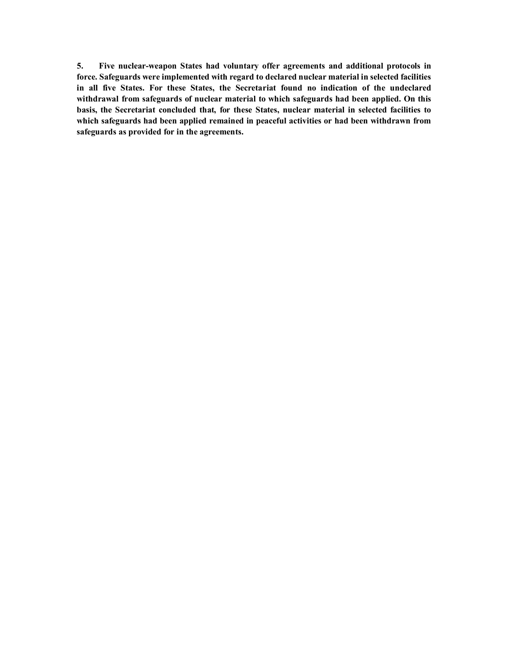**5. Five nuclear-weapon States had voluntary offer agreements and additional protocols in force. Safeguards were implemented with regard to declared nuclear material in selected facilities in all five States. For these States, the Secretariat found no indication of the undeclared withdrawal from safeguards of nuclear material to which safeguards had been applied. On this basis, the Secretariat concluded that, for these States, nuclear material in selected facilities to which safeguards had been applied remained in peaceful activities or had been withdrawn from safeguards as provided for in the agreements.**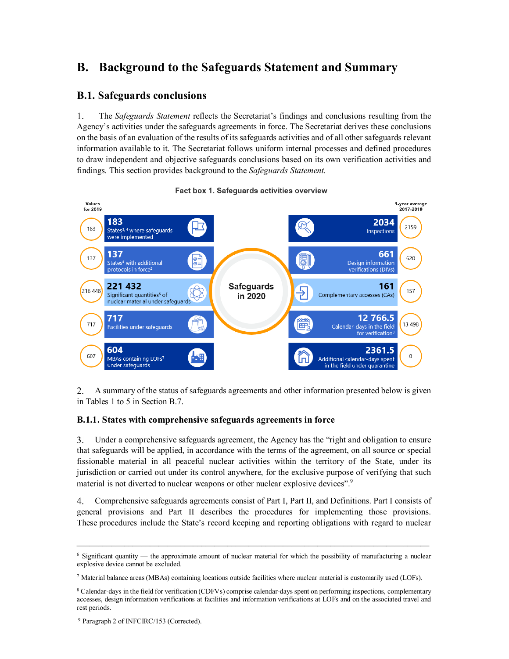# **B. Background to the Safeguards Statement and Summary**

## **B.1. Safeguards conclusions**

1. The *Safeguards Statement* reflects the Secretariat's findings and conclusions resulting from the Agency's activities under the safeguards agreements in force. The Secretariat derives these conclusions on the basis of an evaluation of the results of its safeguards activities and of all other safeguards relevant information available to it. The Secretariat follows uniform internal processes and defined procedures to draw independent and objective safeguards conclusions based on its own verification activities and findings. This section provides background to the *Safeguards Statement*.

#### Values 3-year average<br>2017-2019 for 2019 183 2034 2159 183 States<sup>3, 4</sup> where safeguards Inspections were implemented 137 661 137 620 5 Design information States<sup>4</sup> with additional protocols in force<sup>5</sup> verifications (DIVs) 221 432 **Safequards** 161 216 448 157 ⇒ Complementary accesses (CAs) Significant quantities<sup>6</sup> of in 2020 nuclear material under safeguards 717 12 766.5 717 13 4 98 田 Facilities under safeguards Calendar-days in the field for verification<sup>®</sup> 604 2361.5 607  $\theta$ MBAs containing LOFs7 Additional calendar-days spent under safeguards in the field under quarantine

#### Fact box 1. Safequards activities overview

A summary of the status of safeguards agreements and other information presented below is given  $2<sub>1</sub>$ in Tables 1 to 5 in Section B.7.

#### **B.1.1. States with comprehensive safeguards agreements in force**

Under a comprehensive safeguards agreement, the Agency has the "right and obligation to ensure 3. that safeguards will be applied, in accordance with the terms of the agreement, on all source or special fissionable material in all peaceful nuclear activities within the territory of the State, under its jurisdiction or carried out under its control anywhere, for the exclusive purpose of verifying that such material is not diverted to nuclear weapons or other nuclear explosive devices".<sup>9</sup>

4. Comprehensive safeguards agreements consist of Part I, Part II, and Definitions. Part I consists of general provisions and Part II describes the procedures for implementing those provisions. These procedures include the State's record keeping and reporting obligations with regard to nuclear

<sup>6</sup> Significant quantity — the approximate amount of nuclear material for which the possibility of manufacturing a nuclear explosive device cannot be excluded.

<sup>7</sup> Material balance areas (MBAs) containing locations outside facilities where nuclear material is customarily used (LOFs).

<sup>8</sup> Calendar-days in the field for verification (CDFVs) comprise calendar-days spent on performing inspections, complementary accesses, design information verifications at facilities and information verifications at LOFs and on the associated travel and rest periods.

<sup>&</sup>lt;sup>9</sup> Paragraph 2 of INFCIRC/153 (Corrected).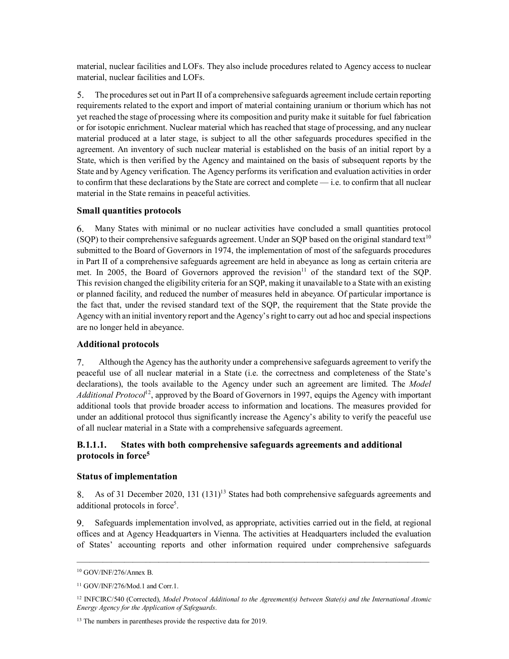material, nuclear facilities and LOFs. They also include procedures related to Agency access to nuclear material, nuclear facilities and LOFs.

5. The procedures set out in Part II of a comprehensive safeguards agreement include certain reporting requirements related to the export and import of material containing uranium or thorium which has not yet reached the stage of processing where its composition and purity make it suitable for fuel fabrication or for isotopic enrichment. Nuclear material which has reached that stage of processing, and any nuclear material produced at a later stage, is subject to all the other safeguards procedures specified in the agreement. An inventory of such nuclear material is established on the basis of an initial report by a State, which is then verified by the Agency and maintained on the basis of subsequent reports by the State and by Agency verification. The Agency performs its verification and evaluation activities in order to confirm that these declarations by the State are correct and complete — i.e. to confirm that all nuclear material in the State remains in peaceful activities.

#### **Small quantities protocols**

Many States with minimal or no nuclear activities have concluded a small quantities protocol 6. (SQP) to their comprehensive safeguards agreement. Under an SQP based on the original standard text<sup>10</sup> submitted to the Board of Governors in 1974, the implementation of most of the safeguards procedures in Part II of a comprehensive safeguards agreement are held in abeyance as long as certain criteria are met. In 2005, the Board of Governors approved the revision<sup>11</sup> of the standard text of the SQP. This revision changed the eligibility criteria for an SQP, making it unavailable to a State with an existing or planned facility, and reduced the number of measures held in abeyance. Of particular importance is the fact that, under the revised standard text of the SQP, the requirement that the State provide the Agency with an initial inventory report and the Agency's right to carry out ad hoc and special inspections are no longer held in abeyance.

#### **Additional protocols**

7. Although the Agency has the authority under a comprehensive safeguards agreement to verify the peaceful use of all nuclear material in a State (i.e. the correctness and completeness of the State's declarations), the tools available to the Agency under such an agreement are limited. The *Model Additional Protocol*<sup>12</sup>, approved by the Board of Governors in 1997, equips the Agency with important additional tools that provide broader access to information and locations. The measures provided for under an additional protocol thus significantly increase the Agency's ability to verify the peaceful use of all nuclear material in a State with a comprehensive safeguards agreement.

#### **B.1.1.1. States with both comprehensive safeguards agreements and additional protocols in force<sup>5</sup>**

#### **Status of implementation**

As of 31 December 2020, 131  $(131)^{13}$  States had both comprehensive safeguards agreements and 8. additional protocols in force<sup>5</sup>.

Safeguards implementation involved, as appropriate, activities carried out in the field, at regional 9. offices and at Agency Headquarters in Vienna. The activities at Headquarters included the evaluation of States' accounting reports and other information required under comprehensive safeguards

<sup>10</sup> GOV/INF/276/Annex B.

<sup>&</sup>lt;sup>11</sup> GOV/INF/276/Mod.1 and Corr.1.

<sup>12</sup> INFCIRC/540 (Corrected), *Model Protocol Additional to the Agreement(s) between State(s) and the International Atomic Energy Agency for the Application of Safeguards*.

<sup>&</sup>lt;sup>13</sup> The numbers in parentheses provide the respective data for 2019.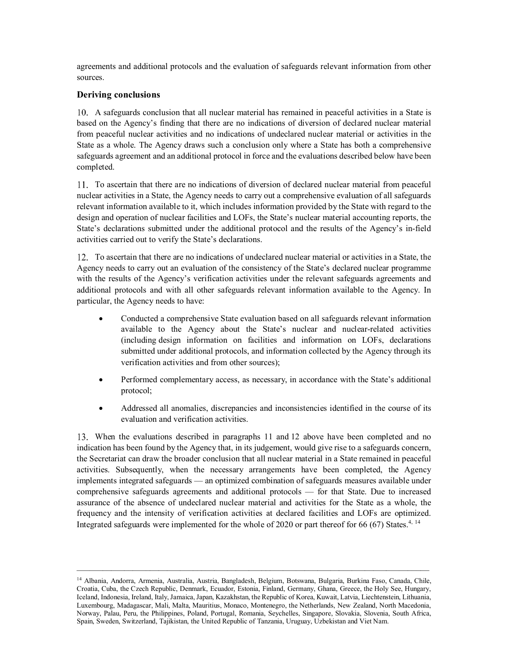agreements and additional protocols and the evaluation of safeguards relevant information from other sources.

#### **Deriving conclusions**

A safeguards conclusion that all nuclear material has remained in peaceful activities in a State is based on the Agency's finding that there are no indications of diversion of declared nuclear material from peaceful nuclear activities and no indications of undeclared nuclear material or activities in the State as a whole. The Agency draws such a conclusion only where a State has both a comprehensive safeguards agreement and an additional protocol in force and the evaluations described below have been completed.

To ascertain that there are no indications of diversion of declared nuclear material from peaceful nuclear activities in a State, the Agency needs to carry out a comprehensive evaluation of all safeguards relevant information available to it, which includes information provided by the State with regard to the design and operation of nuclear facilities and LOFs, the State's nuclear material accounting reports, the State's declarations submitted under the additional protocol and the results of the Agency's in-field activities carried out to verify the State's declarations.

To ascertain that there are no indications of undeclared nuclear material or activities in a State, the Agency needs to carry out an evaluation of the consistency of the State's declared nuclear programme with the results of the Agency's verification activities under the relevant safeguards agreements and additional protocols and with all other safeguards relevant information available to the Agency. In particular, the Agency needs to have:

- Conducted a comprehensive State evaluation based on all safeguards relevant information available to the Agency about the State's nuclear and nuclear-related activities (including design information on facilities and information on LOFs, declarations submitted under additional protocols, and information collected by the Agency through its verification activities and from other sources);
- Performed complementary access, as necessary, in accordance with the State's additional protocol;
- Addressed all anomalies, discrepancies and inconsistencies identified in the course of its evaluation and verification activities.

When the evaluations described in paragraphs 11 and 12 above have been completed and no indication has been found by the Agency that, in its judgement, would give rise to a safeguards concern, the Secretariat can draw the broader conclusion that all nuclear material in a State remained in peaceful activities. Subsequently, when the necessary arrangements have been completed, the Agency implements integrated safeguards — an optimized combination of safeguards measures available under comprehensive safeguards agreements and additional protocols — for that State. Due to increased assurance of the absence of undeclared nuclear material and activities for the State as a whole, the frequency and the intensity of verification activities at declared facilities and LOFs are optimized. Integrated safeguards were implemented for the whole of 2020 or part thereof for 66 (67) States.<sup>4, 14</sup>

<sup>14</sup> Albania, Andorra, Armenia, Australia, Austria, Bangladesh, Belgium, Botswana, Bulgaria, Burkina Faso, Canada, Chile, Croatia, Cuba, the Czech Republic, Denmark, Ecuador, Estonia, Finland, Germany, Ghana, Greece, the Holy See, Hungary, Iceland, Indonesia, Ireland, Italy, Jamaica, Japan, Kazakhstan, the Republic of Korea, Kuwait, Latvia, Liechtenstein, Lithuania, Luxembourg, Madagascar, Mali, Malta, Mauritius, Monaco, Montenegro, the Netherlands, New Zealand, North Macedonia, Norway, Palau, Peru, the Philippines, Poland, Portugal, Romania, Seychelles, Singapore, Slovakia, Slovenia, South Africa, Spain, Sweden, Switzerland, Tajikistan, the United Republic of Tanzania, Uruguay, Uzbekistan and Viet Nam.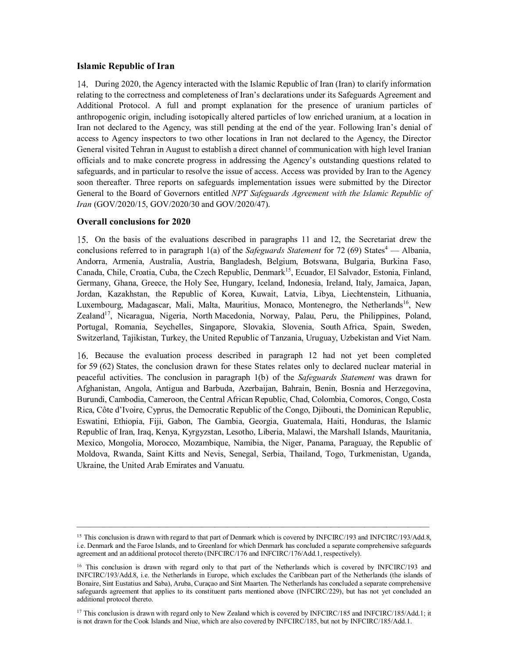#### **Islamic Republic of Iran**

During 2020, the Agency interacted with the Islamic Republic of Iran (Iran) to clarify information relating to the correctness and completeness of Iran's declarations under its Safeguards Agreement and Additional Protocol. A full and prompt explanation for the presence of uranium particles of anthropogenic origin, including isotopically altered particles of low enriched uranium, at a location in Iran not declared to the Agency, was still pending at the end of the year. Following Iran's denial of access to Agency inspectors to two other locations in Iran not declared to the Agency, the Director General visited Tehran in August to establish a direct channel of communication with high level Iranian officials and to make concrete progress in addressing the Agency's outstanding questions related to safeguards, and in particular to resolve the issue of access. Access was provided by Iran to the Agency soon thereafter. Three reports on safeguards implementation issues were submitted by the Director General to the Board of Governors entitled *NPT Safeguards Agreement with the Islamic Republic of Iran* (GOV/2020/15, GOV/2020/30 and GOV/2020/47).

#### **Overall conclusions for 2020**

On the basis of the evaluations described in paragraphs 11 and 12, the Secretariat drew the conclusions referred to in paragraph 1(a) of the *Safeguards Statement* for 72 (69) States<sup>4</sup> — Albania, Andorra, Armenia, Australia, Austria, Bangladesh, Belgium, Botswana, Bulgaria, Burkina Faso, Canada, Chile, Croatia, Cuba, the Czech Republic, Denmark<sup>15</sup>, Ecuador, El Salvador, Estonia, Finland, Germany, Ghana, Greece, the Holy See, Hungary, Iceland, Indonesia, Ireland, Italy, Jamaica, Japan, Jordan, Kazakhstan, the Republic of Korea, Kuwait, Latvia, Libya, Liechtenstein, Lithuania, Luxembourg, Madagascar, Mali, Malta, Mauritius, Monaco, Montenegro, the Netherlands<sup>16</sup>, New Zealand<sup>17</sup>, Nicaragua, Nigeria, North Macedonia, Norway, Palau, Peru, the Philippines, Poland, Portugal, Romania, Seychelles, Singapore, Slovakia, Slovenia, South Africa, Spain, Sweden, Switzerland, Tajikistan, Turkey, the United Republic of Tanzania, Uruguay, Uzbekistan and Viet Nam.

Because the evaluation process described in paragraph 12 had not yet been completed for 59 (62) States, the conclusion drawn for these States relates only to declared nuclear material in peaceful activities. The conclusion in paragraph 1(b) of the *Safeguards Statement* was drawn for Afghanistan, Angola, Antigua and Barbuda, Azerbaijan, Bahrain, Benin, Bosnia and Herzegovina, Burundi, Cambodia, Cameroon, the Central African Republic, Chad, Colombia, Comoros, Congo, Costa Rica, Côte d'Ivoire, Cyprus, the Democratic Republic of the Congo, Djibouti, the Dominican Republic, Eswatini, Ethiopia, Fiji, Gabon, The Gambia, Georgia, Guatemala, Haiti, Honduras, the Islamic Republic of Iran, Iraq, Kenya, Kyrgyzstan, Lesotho, Liberia, Malawi, the Marshall Islands, Mauritania, Mexico, Mongolia, Morocco, Mozambique, Namibia, the Niger, Panama, Paraguay, the Republic of Moldova, Rwanda, Saint Kitts and Nevis, Senegal, Serbia, Thailand, Togo, Turkmenistan, Uganda, Ukraine, the United Arab Emirates and Vanuatu.

<sup>&</sup>lt;sup>15</sup> This conclusion is drawn with regard to that part of Denmark which is covered by INFCIRC/193 and INFCIRC/193/Add.8, i.e. Denmark and the Faroe Islands, and to Greenland for which Denmark has concluded a separate comprehensive safeguards agreement and an additional protocol thereto (INFCIRC/176 and INFCIRC/176/Add.1, respectively).

<sup>&</sup>lt;sup>16</sup> This conclusion is drawn with regard only to that part of the Netherlands which is covered by INFCIRC/193 and INFCIRC/193/Add.8, i.e. the Netherlands in Europe, which excludes the Caribbean part of the Netherlands (the islands of Bonaire, Sint Eustatius and Saba), Aruba, Curaçao and Sint Maarten. The Netherlands has concluded a separate comprehensive safeguards agreement that applies to its constituent parts mentioned above (INFCIRC/229), but has not yet concluded an additional protocol thereto.

<sup>&</sup>lt;sup>17</sup> This conclusion is drawn with regard only to New Zealand which is covered by INFCIRC/185 and INFCIRC/185/Add.1; it is not drawn for the Cook Islands and Niue, which are also covered by INFCIRC/185, but not by INFCIRC/185/Add.1.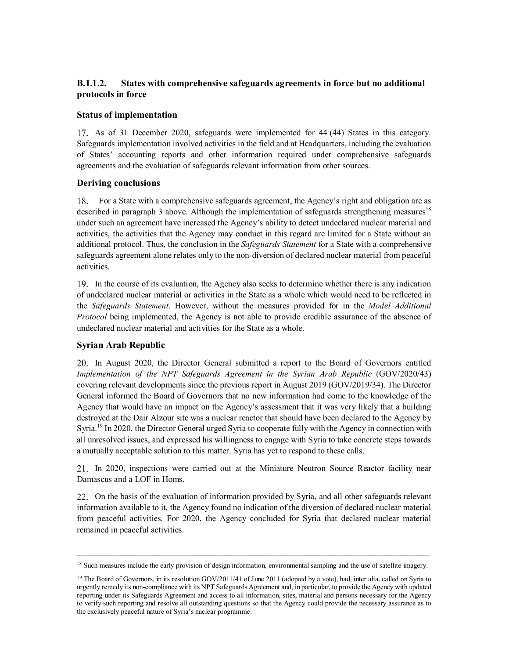### **B.1.1.2. States with comprehensive safeguards agreements in force but no additional protocols in force**

#### **Status of implementation**

17. As of 31 December 2020, safeguards were implemented for 44 (44) States in this category. Safeguards implementation involved activities in the field and at Headquarters, including the evaluation of States' accounting reports and other information required under comprehensive safeguards agreements and the evaluation of safeguards relevant information from other sources.

#### **Deriving conclusions**

For a State with a comprehensive safeguards agreement, the Agency's right and obligation are as 18. described in paragraph 3 above. Although the implementation of safeguards strengthening measures<sup>18</sup> under such an agreement have increased the Agency's ability to detect undeclared nuclear material and activities, the activities that the Agency may conduct in this regard are limited for a State without an additional protocol. Thus, the conclusion in the *Safeguards Statement* for a State with a comprehensive safeguards agreement alone relates only to the non-diversion of declared nuclear material from peaceful activities.

In the course of its evaluation, the Agency also seeks to determine whether there is any indication of undeclared nuclear material or activities in the State as a whole which would need to be reflected in the *Safeguards Statement*. However, without the measures provided for in the *Model Additional Protocol* being implemented, the Agency is not able to provide credible assurance of the absence of undeclared nuclear material and activities for the State as a whole.

#### **Syrian Arab Republic**

In August 2020, the Director General submitted a report to the Board of Governors entitled *Implementation of the NPT Safeguards Agreement in the Syrian Arab Republic* (GOV/2020/43) covering relevant developments since the previous report in August 2019 (GOV/2019/34). The Director General informed the Board of Governors that no new information had come to the knowledge of the Agency that would have an impact on the Agency's assessment that it was very likely that a building destroyed at the Dair Alzour site was a nuclear reactor that should have been declared to the Agency by Syria.<sup>19</sup> In 2020, the Director General urged Syria to cooperate fully with the Agency in connection with all unresolved issues, and expressed his willingness to engage with Syria to take concrete steps towards a mutually acceptable solution to this matter. Syria has yet to respond to these calls.

In 2020, inspections were carried out at the Miniature Neutron Source Reactor facility near Damascus and a LOF in Homs.

On the basis of the evaluation of information provided by Syria, and all other safeguards relevant information available to it, the Agency found no indication of the diversion of declared nuclear material from peaceful activities. For 2020, the Agency concluded for Syria that declared nuclear material remained in peaceful activities.

\_\_\_\_\_\_\_\_\_\_\_\_\_\_\_\_\_\_\_\_\_\_\_\_\_\_\_\_\_\_\_\_\_\_\_\_\_\_\_\_\_\_\_\_\_\_\_\_\_\_\_\_\_\_\_\_\_\_\_\_\_\_\_\_\_\_\_\_\_\_\_\_\_\_\_\_\_\_\_\_\_\_ <sup>18</sup> Such measures include the early provision of design information, environmental sampling and the use of satellite imagery.

<sup>&</sup>lt;sup>19</sup> The Board of Governors, in its resolution GOV/2011/41 of June 2011 (adopted by a vote), had, inter alia, called on Syria to urgently remedy its non-compliance with its NPT Safeguards Agreement and, in particular, to provide the Agency with updated reporting under its Safeguards Agreement and access to all information, sites, material and persons necessary for the Agency to verify such reporting and resolve all outstanding questions so that the Agency could provide the necessary assurance as to the exclusively peaceful nature of Syria's nuclear programme.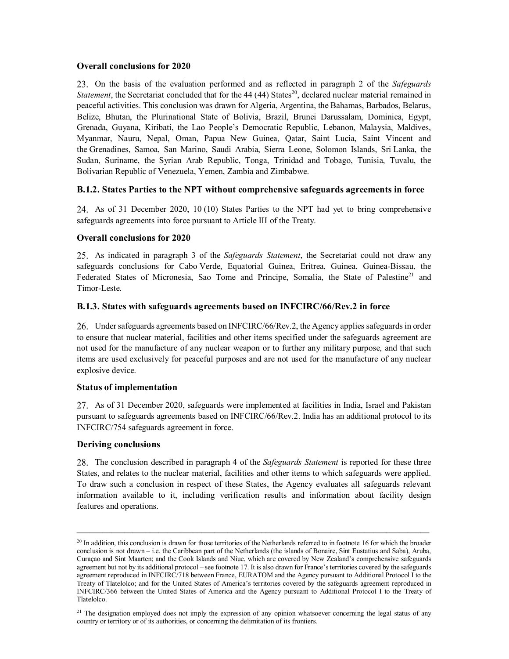#### **Overall conclusions for 2020**

On the basis of the evaluation performed and as reflected in paragraph 2 of the *Safeguards Statement*, the Secretariat concluded that for the 44 (44) States<sup>20</sup>, declared nuclear material remained in peaceful activities. This conclusion was drawn for Algeria, Argentina, the Bahamas, Barbados, Belarus, Belize, Bhutan, the Plurinational State of Bolivia, Brazil, Brunei Darussalam, Dominica, Egypt, Grenada, Guyana, Kiribati, the Lao People's Democratic Republic, Lebanon, Malaysia, Maldives, Myanmar, Nauru, Nepal, Oman, Papua New Guinea, Qatar, Saint Lucia, Saint Vincent and the Grenadines, Samoa, San Marino, Saudi Arabia, Sierra Leone, Solomon Islands, Sri Lanka, the Sudan, Suriname, the Syrian Arab Republic, Tonga, Trinidad and Tobago, Tunisia, Tuvalu, the Bolivarian Republic of Venezuela, Yemen, Zambia and Zimbabwe.

#### **B.1.2. States Parties to the NPT without comprehensive safeguards agreements in force**

As of 31 December 2020, 10 (10) States Parties to the NPT had yet to bring comprehensive safeguards agreements into force pursuant to Article III of the Treaty.

#### **Overall conclusions for 2020**

As indicated in paragraph 3 of the *Safeguards Statement*, the Secretariat could not draw any safeguards conclusions for Cabo Verde, Equatorial Guinea, Eritrea, Guinea, Guinea-Bissau, the Federated States of Micronesia, Sao Tome and Principe, Somalia, the State of Palestine<sup>21</sup> and Timor-Leste.

#### **B.1.3. States with safeguards agreements based on INFCIRC/66/Rev.2 in force**

Under safeguards agreements based on INFCIRC/66/Rev.2, the Agency applies safeguards in order to ensure that nuclear material, facilities and other items specified under the safeguards agreement are not used for the manufacture of any nuclear weapon or to further any military purpose, and that such items are used exclusively for peaceful purposes and are not used for the manufacture of any nuclear explosive device.

#### **Status of implementation**

As of 31 December 2020, safeguards were implemented at facilities in India, Israel and Pakistan pursuant to safeguards agreements based on INFCIRC/66/Rev.2. India has an additional protocol to its INFCIRC/754 safeguards agreement in force.

#### **Deriving conclusions**

The conclusion described in paragraph 4 of the *Safeguards Statement* is reported for these three States, and relates to the nuclear material, facilities and other items to which safeguards were applied. To draw such a conclusion in respect of these States, the Agency evaluates all safeguards relevant information available to it, including verification results and information about facility design features and operations.

 $^{20}$  In addition, this conclusion is drawn for those territories of the Netherlands referred to in footnote 16 for which the broader conclusion is not drawn – i.e. the Caribbean part of the Netherlands (the islands of Bonaire, Sint Eustatius and Saba), Aruba, Curaçao and Sint Maarten; and the Cook Islands and Niue, which are covered by New Zealand's comprehensive safeguards agreement but not by its additional protocol – see footnote 17. It is also drawn for France's territories covered by the safeguards agreement reproduced in INFCIRC/718 between France, EURATOM and the Agency pursuant to Additional Protocol I to the Treaty of Tlatelolco; and for the United States of America's territories covered by the safeguards agreement reproduced in INFCIRC/366 between the United States of America and the Agency pursuant to Additional Protocol I to the Treaty of Tlatelolco.

 $21$  The designation employed does not imply the expression of any opinion whatsoever concerning the legal status of any country or territory or of its authorities, or concerning the delimitation of its frontiers.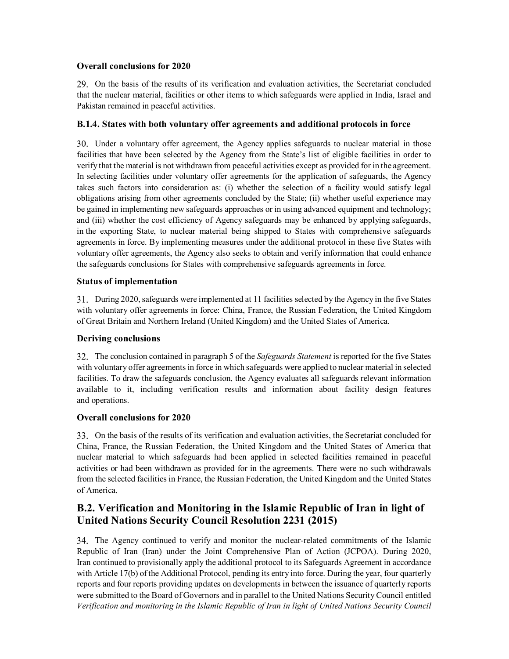### **Overall conclusions for 2020**

On the basis of the results of its verification and evaluation activities, the Secretariat concluded that the nuclear material, facilities or other items to which safeguards were applied in India, Israel and Pakistan remained in peaceful activities.

### **B.1.4. States with both voluntary offer agreements and additional protocols in force**

Under a voluntary offer agreement, the Agency applies safeguards to nuclear material in those facilities that have been selected by the Agency from the State's list of eligible facilities in order to verify that the material is not withdrawn from peaceful activities except as provided for in the agreement. In selecting facilities under voluntary offer agreements for the application of safeguards, the Agency takes such factors into consideration as: (i) whether the selection of a facility would satisfy legal obligations arising from other agreements concluded by the State; (ii) whether useful experience may be gained in implementing new safeguards approaches or in using advanced equipment and technology; and (iii) whether the cost efficiency of Agency safeguards may be enhanced by applying safeguards, in the exporting State, to nuclear material being shipped to States with comprehensive safeguards agreements in force. By implementing measures under the additional protocol in these five States with voluntary offer agreements, the Agency also seeks to obtain and verify information that could enhance the safeguards conclusions for States with comprehensive safeguards agreements in force.

### **Status of implementation**

During 2020, safeguards were implemented at 11 facilities selected by the Agency in the five States with voluntary offer agreements in force: China, France, the Russian Federation, the United Kingdom of Great Britain and Northern Ireland (United Kingdom) and the United States of America.

### **Deriving conclusions**

The conclusion contained in paragraph 5 of the *Safeguards Statement* is reported for the five States with voluntary offer agreements in force in which safeguards were applied to nuclear material in selected facilities. To draw the safeguards conclusion, the Agency evaluates all safeguards relevant information available to it, including verification results and information about facility design features and operations.

#### **Overall conclusions for 2020**

On the basis of the results of its verification and evaluation activities, the Secretariat concluded for China, France, the Russian Federation, the United Kingdom and the United States of America that nuclear material to which safeguards had been applied in selected facilities remained in peaceful activities or had been withdrawn as provided for in the agreements. There were no such withdrawals from the selected facilities in France, the Russian Federation, the United Kingdom and the United States of America.

## **B.2. Verification and Monitoring in the Islamic Republic of Iran in light of United Nations Security Council Resolution 2231 (2015)**

The Agency continued to verify and monitor the nuclear-related commitments of the Islamic Republic of Iran (Iran) under the Joint Comprehensive Plan of Action (JCPOA). During 2020, Iran continued to provisionally apply the additional protocol to its Safeguards Agreement in accordance with Article 17(b) of the Additional Protocol, pending its entry into force. During the year, four quarterly reports and four reports providing updates on developments in between the issuance of quarterly reports were submitted to the Board of Governors and in parallel to the United Nations Security Council entitled *Verification and monitoring in the Islamic Republic of Iran in light of United Nations Security Council*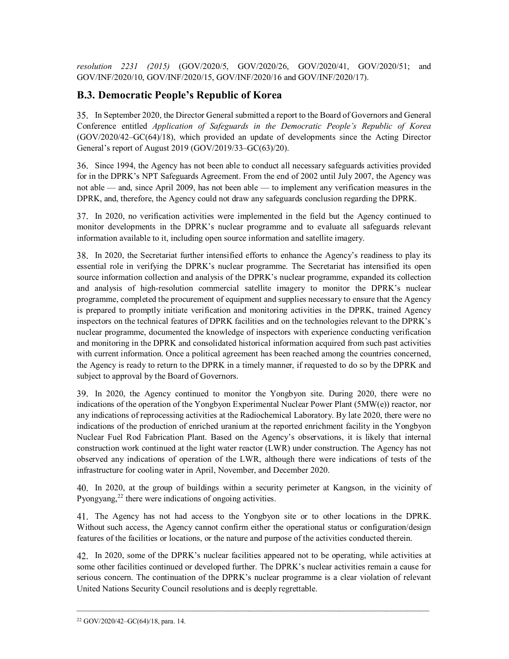*resolution 2231 (2015)* (GOV/2020/5, GOV/2020/26, GOV/2020/41, GOV/2020/51; and GOV/INF/2020/10, GOV/INF/2020/15, GOV/INF/2020/16 and GOV/INF/2020/17).

# **B.3. Democratic People's Republic of Korea**

In September 2020, the Director General submitted a report to the Board of Governors and General Conference entitled *Application of Safeguards in the Democratic People's Republic of Korea* (GOV/2020/42–GC(64)/18), which provided an update of developments since the Acting Director General's report of August 2019 (GOV/2019/33–GC(63)/20).

Since 1994, the Agency has not been able to conduct all necessary safeguards activities provided for in the DPRK's NPT Safeguards Agreement. From the end of 2002 until July 2007, the Agency was not able — and, since April 2009, has not been able — to implement any verification measures in the DPRK, and, therefore, the Agency could not draw any safeguards conclusion regarding the DPRK.

In 2020, no verification activities were implemented in the field but the Agency continued to monitor developments in the DPRK's nuclear programme and to evaluate all safeguards relevant information available to it, including open source information and satellite imagery.

In 2020, the Secretariat further intensified efforts to enhance the Agency's readiness to play its essential role in verifying the DPRK's nuclear programme. The Secretariat has intensified its open source information collection and analysis of the DPRK's nuclear programme, expanded its collection and analysis of high-resolution commercial satellite imagery to monitor the DPRK's nuclear programme, completed the procurement of equipment and supplies necessary to ensure that the Agency is prepared to promptly initiate verification and monitoring activities in the DPRK, trained Agency inspectors on the technical features of DPRK facilities and on the technologies relevant to the DPRK's nuclear programme, documented the knowledge of inspectors with experience conducting verification and monitoring in the DPRK and consolidated historical information acquired from such past activities with current information. Once a political agreement has been reached among the countries concerned, the Agency is ready to return to the DPRK in a timely manner, if requested to do so by the DPRK and subject to approval by the Board of Governors.

In 2020, the Agency continued to monitor the Yongbyon site. During 2020, there were no indications of the operation of the Yongbyon Experimental Nuclear Power Plant (5MW(e)) reactor, nor any indications of reprocessing activities at the Radiochemical Laboratory. By late 2020, there were no indications of the production of enriched uranium at the reported enrichment facility in the Yongbyon Nuclear Fuel Rod Fabrication Plant. Based on the Agency's observations, it is likely that internal construction work continued at the light water reactor (LWR) under construction. The Agency has not observed any indications of operation of the LWR, although there were indications of tests of the infrastructure for cooling water in April, November, and December 2020.

In 2020, at the group of buildings within a security perimeter at Kangson, in the vicinity of Pyongyang, $^{22}$  there were indications of ongoing activities.

The Agency has not had access to the Yongbyon site or to other locations in the DPRK. Without such access, the Agency cannot confirm either the operational status or configuration/design features of the facilities or locations, or the nature and purpose of the activities conducted therein.

In 2020, some of the DPRK's nuclear facilities appeared not to be operating, while activities at some other facilities continued or developed further. The DPRK's nuclear activities remain a cause for serious concern. The continuation of the DPRK's nuclear programme is a clear violation of relevant United Nations Security Council resolutions and is deeply regrettable.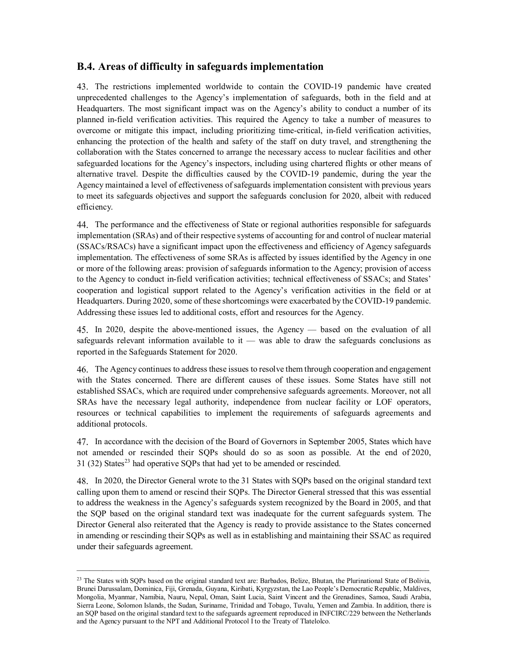### **B.4. Areas of difficulty in safeguards implementation**

The restrictions implemented worldwide to contain the COVID-19 pandemic have created unprecedented challenges to the Agency's implementation of safeguards, both in the field and at Headquarters. The most significant impact was on the Agency's ability to conduct a number of its planned in-field verification activities. This required the Agency to take a number of measures to overcome or mitigate this impact, including prioritizing time-critical, in-field verification activities, enhancing the protection of the health and safety of the staff on duty travel, and strengthening the collaboration with the States concerned to arrange the necessary access to nuclear facilities and other safeguarded locations for the Agency's inspectors, including using chartered flights or other means of alternative travel. Despite the difficulties caused by the COVID-19 pandemic, during the year the Agency maintained a level of effectiveness of safeguards implementation consistent with previous years to meet its safeguards objectives and support the safeguards conclusion for 2020, albeit with reduced efficiency.

The performance and the effectiveness of State or regional authorities responsible for safeguards implementation (SRAs) and of their respective systems of accounting for and control of nuclear material (SSACs/RSACs) have a significant impact upon the effectiveness and efficiency of Agency safeguards implementation. The effectiveness of some SRAs is affected by issues identified by the Agency in one or more of the following areas: provision of safeguards information to the Agency; provision of access to the Agency to conduct in-field verification activities; technical effectiveness of SSACs; and States' cooperation and logistical support related to the Agency's verification activities in the field or at Headquarters. During 2020, some of these shortcomings were exacerbated by the COVID-19 pandemic. Addressing these issues led to additional costs, effort and resources for the Agency.

In 2020, despite the above-mentioned issues, the Agency — based on the evaluation of all safeguards relevant information available to it — was able to draw the safeguards conclusions as reported in the Safeguards Statement for 2020.

The Agency continues to address these issues to resolve them through cooperation and engagement with the States concerned. There are different causes of these issues. Some States have still not established SSACs, which are required under comprehensive safeguards agreements. Moreover, not all SRAs have the necessary legal authority, independence from nuclear facility or LOF operators, resources or technical capabilities to implement the requirements of safeguards agreements and additional protocols.

In accordance with the decision of the Board of Governors in September 2005, States which have not amended or rescinded their SQPs should do so as soon as possible. At the end of 2020,  $31$  (32) States<sup>23</sup> had operative SQPs that had yet to be amended or rescinded.

In 2020, the Director General wrote to the 31 States with SQPs based on the original standard text calling upon them to amend or rescind their SQPs. The Director General stressed that this was essential to address the weakness in the Agency's safeguards system recognized by the Board in 2005, and that the SQP based on the original standard text was inadequate for the current safeguards system. The Director General also reiterated that the Agency is ready to provide assistance to the States concerned in amending or rescinding their SQPs as well as in establishing and maintaining their SSAC as required under their safeguards agreement.

<sup>&</sup>lt;sup>23</sup> The States with SQPs based on the original standard text are: Barbados, Belize, Bhutan, the Plurinational State of Bolivia, Brunei Darussalam, Dominica, Fiji, Grenada, Guyana, Kiribati, Kyrgyzstan, the Lao People's Democratic Republic, Maldives, Mongolia, Myanmar, Namibia, Nauru, Nepal, Oman, Saint Lucia, Saint Vincent and the Grenadines, Samoa, Saudi Arabia, Sierra Leone, Solomon Islands, the Sudan, Suriname, Trinidad and Tobago, Tuvalu, Yemen and Zambia. In addition, there is an SQP based on the original standard text to the safeguards agreement reproduced in INFCIRC/229 between the Netherlands and the Agency pursuant to the NPT and Additional Protocol I to the Treaty of Tlatelolco.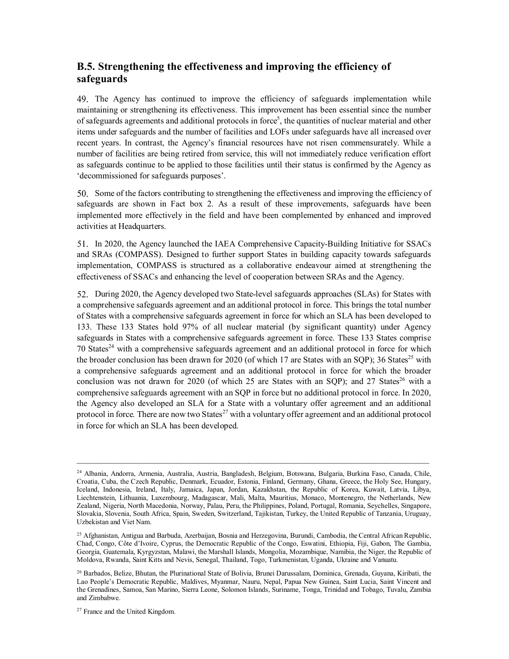# **B.5. Strengthening the effectiveness and improving the efficiency of safeguards**

The Agency has continued to improve the efficiency of safeguards implementation while maintaining or strengthening its effectiveness. This improvement has been essential since the number of safeguards agreements and additional protocols in force<sup>5</sup>, the quantities of nuclear material and other items under safeguards and the number of facilities and LOFs under safeguards have all increased over recent years. In contrast, the Agency's financial resources have not risen commensurately. While a number of facilities are being retired from service, this will not immediately reduce verification effort as safeguards continue to be applied to those facilities until their status is confirmed by the Agency as 'decommissioned for safeguards purposes'.

Some of the factors contributing to strengthening the effectiveness and improving the efficiency of safeguards are shown in Fact box 2. As a result of these improvements, safeguards have been implemented more effectively in the field and have been complemented by enhanced and improved activities at Headquarters.

In 2020, the Agency launched the IAEA Comprehensive Capacity-Building Initiative for SSACs and SRAs (COMPASS). Designed to further support States in building capacity towards safeguards implementation, COMPASS is structured as a collaborative endeavour aimed at strengthening the effectiveness of SSACs and enhancing the level of cooperation between SRAs and the Agency.

52. During 2020, the Agency developed two State-level safeguards approaches (SLAs) for States with a comprehensive safeguards agreement and an additional protocol in force. This brings the total number of States with a comprehensive safeguards agreement in force for which an SLA has been developed to 133. These 133 States hold 97% of all nuclear material (by significant quantity) under Agency safeguards in States with a comprehensive safeguards agreement in force. These 133 States comprise 70 States<sup>24</sup> with a comprehensive safeguards agreement and an additional protocol in force for which the broader conclusion has been drawn for 2020 (of which 17 are States with an SQP); 36 States<sup>25</sup> with a comprehensive safeguards agreement and an additional protocol in force for which the broader conclusion was not drawn for 2020 (of which 25 are States with an SQP); and 27 States<sup>26</sup> with a comprehensive safeguards agreement with an SQP in force but no additional protocol in force. In 2020, the Agency also developed an SLA for a State with a voluntary offer agreement and an additional protocol in force. There are now two States<sup>27</sup> with a voluntary offer agreement and an additional protocol in force for which an SLA has been developed.

\_\_\_\_\_\_\_\_\_\_\_\_\_\_\_\_\_\_\_\_\_\_\_\_\_\_\_\_\_\_\_\_\_\_\_\_\_\_\_\_\_\_\_\_\_\_\_\_\_\_\_\_\_\_\_\_\_\_\_\_\_\_\_\_\_\_\_\_\_\_\_\_\_\_\_\_\_\_\_\_\_\_

<sup>27</sup> France and the United Kingdom.

<sup>24</sup> Albania, Andorra, Armenia, Australia, Austria, Bangladesh, Belgium, Botswana, Bulgaria, Burkina Faso, Canada, Chile, Croatia, Cuba, the Czech Republic, Denmark, Ecuador, Estonia, Finland, Germany, Ghana, Greece, the Holy See, Hungary, Iceland, Indonesia, Ireland, Italy, Jamaica, Japan, Jordan, Kazakhstan, the Republic of Korea, Kuwait, Latvia, Libya, Liechtenstein, Lithuania, Luxembourg, Madagascar, Mali, Malta, Mauritius, Monaco, Montenegro, the Netherlands, New Zealand, Nigeria, North Macedonia, Norway, Palau, Peru, the Philippines, Poland, Portugal, Romania, Seychelles, Singapore, Slovakia, Slovenia, South Africa, Spain, Sweden, Switzerland, Tajikistan, Turkey, the United Republic of Tanzania, Uruguay, Uzbekistan and Viet Nam.

<sup>&</sup>lt;sup>25</sup> Afghanistan, Antigua and Barbuda, Azerbaijan, Bosnia and Herzegovina, Burundi, Cambodia, the Central African Republic, Chad, Congo, Côte d'Ivoire, Cyprus, the Democratic Republic of the Congo, Eswatini, Ethiopia, Fiji, Gabon, The Gambia, Georgia, Guatemala, Kyrgyzstan, Malawi, the Marshall Islands, Mongolia, Mozambique, Namibia, the Niger, the Republic of Moldova, Rwanda, Saint Kitts and Nevis, Senegal, Thailand, Togo, Turkmenistan, Uganda, Ukraine and Vanuatu.

<sup>&</sup>lt;sup>26</sup> Barbados, Belize, Bhutan, the Plurinational State of Bolivia, Brunei Darussalam, Dominica, Grenada, Guyana, Kiribati, the Lao People's Democratic Republic, Maldives, Myanmar, Nauru, Nepal, Papua New Guinea, Saint Lucia, Saint Vincent and the Grenadines, Samoa, San Marino, Sierra Leone, Solomon Islands, Suriname, Tonga, Trinidad and Tobago, Tuvalu, Zambia and Zimbabwe.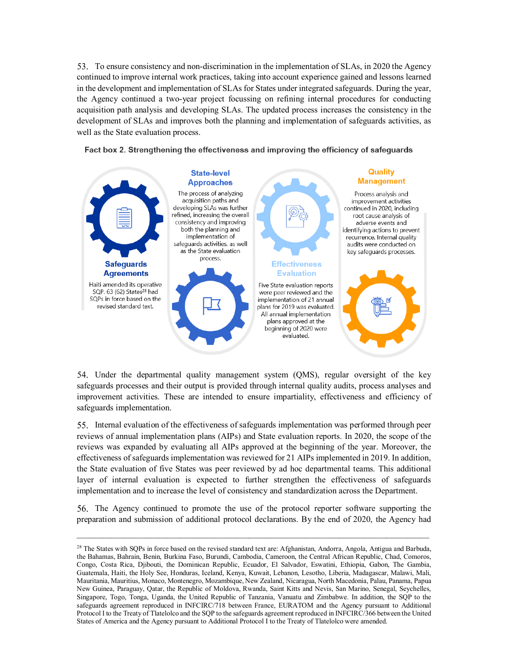53. To ensure consistency and non-discrimination in the implementation of SLAs, in 2020 the Agency continued to improve internal work practices, taking into account experience gained and lessons learned in the development and implementation of SLAs for States under integrated safeguards. During the year, the Agency continued a two-year project focussing on refining internal procedures for conducting acquisition path analysis and developing SLAs. The updated process increases the consistency in the development of SLAs and improves both the planning and implementation of safeguards activities, as well as the State evaluation process.



Fact box 2. Strengthening the effectiveness and improving the efficiency of safeguards

54. Under the departmental quality management system (QMS), regular oversight of the key safeguards processes and their output is provided through internal quality audits, process analyses and improvement activities. These are intended to ensure impartiality, effectiveness and efficiency of safeguards implementation.

Internal evaluation of the effectiveness of safeguards implementation was performed through peer reviews of annual implementation plans (AIPs) and State evaluation reports. In 2020, the scope of the reviews was expanded by evaluating all AIPs approved at the beginning of the year. Moreover, the effectiveness of safeguards implementation was reviewed for 21 AIPs implemented in 2019. In addition, the State evaluation of five States was peer reviewed by ad hoc departmental teams. This additional layer of internal evaluation is expected to further strengthen the effectiveness of safeguards implementation and to increase the level of consistency and standardization across the Department.

56. The Agency continued to promote the use of the protocol reporter software supporting the preparation and submission of additional protocol declarations. By the end of 2020, the Agency had

<sup>&</sup>lt;sup>28</sup> The States with SQPs in force based on the revised standard text are: Afghanistan, Andorra, Angola, Antigua and Barbuda, the Bahamas, Bahrain, Benin, Burkina Faso, Burundi, Cambodia, Cameroon, the Central African Republic, Chad, Comoros, Congo, Costa Rica, Djibouti, the Dominican Republic, Ecuador, El Salvador, Eswatini, Ethiopia, Gabon, The Gambia, Guatemala, Haiti, the Holy See, Honduras, Iceland, Kenya, Kuwait, Lebanon, Lesotho, Liberia, Madagascar, Malawi, Mali, Mauritania, Mauritius, Monaco, Montenegro, Mozambique, New Zealand, Nicaragua, North Macedonia, Palau, Panama, Papua New Guinea, Paraguay, Qatar, the Republic of Moldova, Rwanda, Saint Kitts and Nevis, San Marino, Senegal, Seychelles, Singapore, Togo, Tonga, Uganda, the United Republic of Tanzania, Vanuatu and Zimbabwe. In addition, the SQP to the safeguards agreement reproduced in INFCIRC/718 between France, EURATOM and the Agency pursuant to Additional Protocol I to the Treaty of Tlatelolco and the SQP to the safeguards agreement reproduced in INFCIRC/366 between the United States of America and the Agency pursuant to Additional Protocol I to the Treaty of Tlatelolco were amended.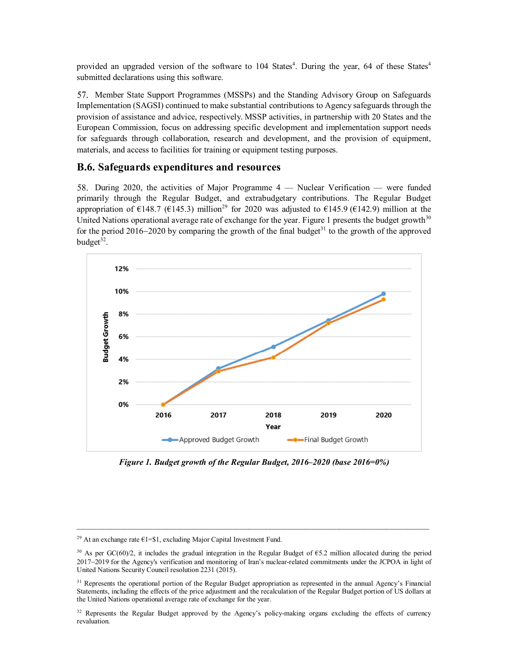provided an upgraded version of the software to 104 States<sup>4</sup>. During the year, 64 of these States<sup>4</sup> submitted declarations using this software.

57. Member State Support Programmes (MSSPs) and the Standing Advisory Group on Safeguards Implementation (SAGSI) continued to make substantial contributions to Agency safeguards through the provision of assistance and advice, respectively. MSSP activities, in partnership with 20 States and the European Commission, focus on addressing specific development and implementation support needs for safeguards through collaboration, research and development, and the provision of equipment, materials, and access to facilities for training or equipment testing purposes.

#### **B.6. Safeguards expenditures and resources**

58. During 2020, the activities of Major Programme 4 — Nuclear Verification — were funded primarily through the Regular Budget, and extrabudgetary contributions. The Regular Budget appropriation of  $\epsilon$ 148.7 ( $\epsilon$ 145.3) million<sup>29</sup> for 2020 was adjusted to  $\epsilon$ 145.9 ( $\epsilon$ 142.9) million at the United Nations operational average rate of exchange for the year. Figure 1 presents the budget growth $30$ for the period 2016–2020 by comparing the growth of the final budget<sup>31</sup> to the growth of the approved budget<sup>32</sup>.



*Figure 1. Budget growth of the Regular Budget, 2016–2020 (base 2016=0%)* 

 $\mathcal{L}_\mathcal{L} = \{ \mathcal{L}_\mathcal{L} = \{ \mathcal{L}_\mathcal{L} = \{ \mathcal{L}_\mathcal{L} = \{ \mathcal{L}_\mathcal{L} = \{ \mathcal{L}_\mathcal{L} = \{ \mathcal{L}_\mathcal{L} = \{ \mathcal{L}_\mathcal{L} = \{ \mathcal{L}_\mathcal{L} = \{ \mathcal{L}_\mathcal{L} = \{ \mathcal{L}_\mathcal{L} = \{ \mathcal{L}_\mathcal{L} = \{ \mathcal{L}_\mathcal{L} = \{ \mathcal{L}_\mathcal{L} = \{ \mathcal{L}_\mathcal{$ 

<sup>&</sup>lt;sup>29</sup> At an exchange rate  $E1 = $1$ , excluding Major Capital Investment Fund.

<sup>&</sup>lt;sup>30</sup> As per GC(60)/2, it includes the gradual integration in the Regular Budget of  $65.2$  million allocated during the period 20172019 for the Agency's verification and monitoring of Iran's nuclear-related commitments under the JCPOA in light of United Nations Security Council resolution 2231 (2015).

<sup>&</sup>lt;sup>31</sup> Represents the operational portion of the Regular Budget appropriation as represented in the annual Agency's Financial Statements, including the effects of the price adjustment and the recalculation of the Regular Budget portion of US dollars at the United Nations operational average rate of exchange for the year.

<sup>&</sup>lt;sup>32</sup> Represents the Regular Budget approved by the Agency's policy-making organs excluding the effects of currency revaluation.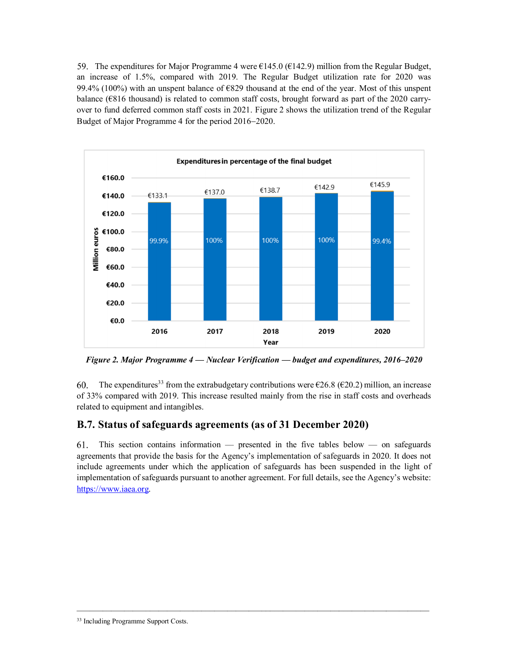59. The expenditures for Major Programme 4 were  $\epsilon$ 145.0 ( $\epsilon$ 142.9) million from the Regular Budget, an increase of 1.5%, compared with 2019. The Regular Budget utilization rate for 2020 was 99.4% (100%) with an unspent balance of  $\epsilon$ 829 thousand at the end of the year. Most of this unspent balance ( $6816$  thousand) is related to common staff costs, brought forward as part of the 2020 carryover to fund deferred common staff costs in 2021. Figure 2 shows the utilization trend of the Regular Budget of Major Programme 4 for the period 2016–2020.



*Figure 2. Major Programme 4 — Nuclear Verification — budget and expenditures, 2016–2020* 

The expenditures<sup>33</sup> from the extrabudgetary contributions were  $\epsilon$ 26.8 ( $\epsilon$ 20.2) million, an increase 60. of 33% compared with 2019. This increase resulted mainly from the rise in staff costs and overheads related to equipment and intangibles.

# **B.7. Status of safeguards agreements (as of 31 December 2020)**

61. This section contains information — presented in the five tables below — on safeguards agreements that provide the basis for the Agency's implementation of safeguards in 2020. It does not include agreements under which the application of safeguards has been suspended in the light of implementation of safeguards pursuant to another agreement. For full details, see the Agency's website: https://www.iaea.org.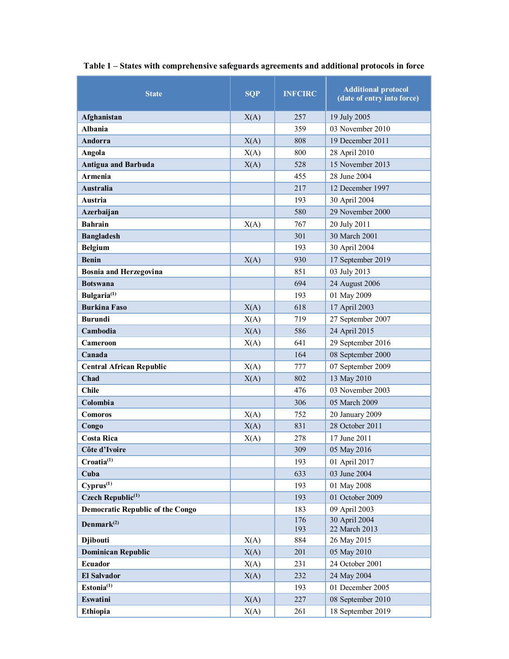| <b>State</b>                            | <b>SQP</b> | <b>INFCIRC</b> | <b>Additional protocol</b><br>(date of entry into force) |
|-----------------------------------------|------------|----------------|----------------------------------------------------------|
| Afghanistan                             | X(A)       | 257            | 19 July 2005                                             |
| <b>Albania</b>                          |            | 359            | 03 November 2010                                         |
| Andorra                                 | X(A)       | 808            | 19 December 2011                                         |
| Angola                                  | X(A)       | 800            | 28 April 2010                                            |
| <b>Antigua and Barbuda</b>              | X(A)       | 528            | 15 November 2013                                         |
| Armenia                                 |            | 455            | 28 June 2004                                             |
| <b>Australia</b>                        |            | 217            | 12 December 1997                                         |
| Austria                                 |            | 193            | 30 April 2004                                            |
| Azerbaijan                              |            | 580            | 29 November 2000                                         |
| <b>Bahrain</b>                          | X(A)       | 767            | 20 July 2011                                             |
| <b>Bangladesh</b>                       |            | 301            | 30 March 2001                                            |
| <b>Belgium</b>                          |            | 193            | 30 April 2004                                            |
| <b>Benin</b>                            | X(A)       | 930            | 17 September 2019                                        |
| <b>Bosnia and Herzegovina</b>           |            | 851            | 03 July 2013                                             |
| <b>Botswana</b>                         |            | 694            | 24 August 2006                                           |
| Bulgaria <sup>(1)</sup>                 |            | 193            | 01 May 2009                                              |
| <b>Burkina Faso</b>                     | X(A)       | 618            | 17 April 2003                                            |
| <b>Burundi</b>                          | X(A)       | 719            | 27 September 2007                                        |
| Cambodia                                | X(A)       | 586            | 24 April 2015                                            |
| Cameroon                                | X(A)       | 641            | 29 September 2016                                        |
| Canada                                  |            | 164            | 08 September 2000                                        |
| <b>Central African Republic</b>         | X(A)       | 777            | 07 September 2009                                        |
| Chad                                    | X(A)       | 802            | 13 May 2010                                              |
| <b>Chile</b>                            |            | 476            | 03 November 2003                                         |
| Colombia                                |            | 306            | 05 March 2009                                            |
| Comoros                                 | X(A)       | 752            | 20 January 2009                                          |
| Congo                                   | X(A)       | 831            | 28 October 2011                                          |
| <b>Costa Rica</b>                       | X(A)       | 278            | 17 June 2011                                             |
| Côte d'Ivoire                           |            | 309            | 05 May 2016                                              |
| Croatia <sup>(1)</sup>                  |            | 193            | 01 April 2017                                            |
| Cuba                                    |            | 633            | 03 June 2004                                             |
| $Cyprus^{(1)}$                          |            | 193            | 01 May 2008                                              |
| Czech Republic <sup>(1)</sup>           |            | 193            | 01 October 2009                                          |
| <b>Democratic Republic of the Congo</b> |            | 183            | 09 April 2003                                            |
| Denmark $(2)$                           |            | 176<br>193     | 30 April 2004<br>22 March 2013                           |
| <b>Djibouti</b>                         | X(A)       | 884            | 26 May 2015                                              |
| <b>Dominican Republic</b>               | X(A)       | 201            | 05 May 2010                                              |
| Ecuador                                 | X(A)       | 231            | 24 October 2001                                          |
| <b>El Salvador</b>                      | X(A)       | 232            | 24 May 2004                                              |
| Estonia <sup>(1)</sup>                  |            | 193            | 01 December 2005                                         |
| Eswatini                                | X(A)       | 227            | 08 September 2010                                        |
| Ethiopia                                | X(A)       | 261            | 18 September 2019                                        |

**Table 1 – States with comprehensive safeguards agreements and additional protocols in force**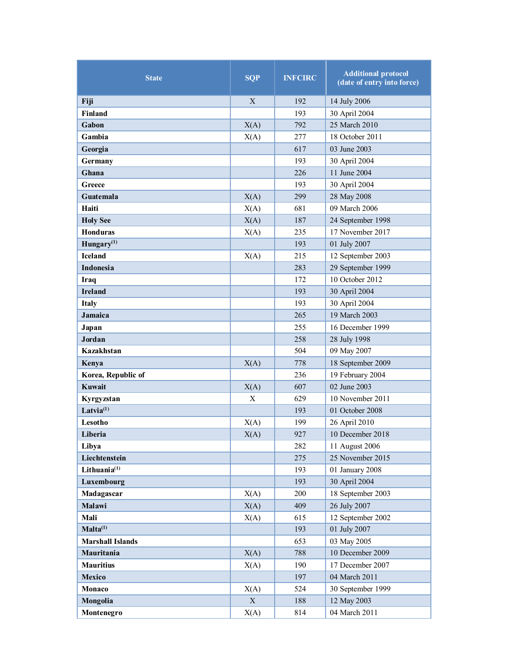| <b>State</b>            | <b>SQP</b>   | <b>INFCIRC</b> | <b>Additional protocol</b><br>(date of entry into force) |
|-------------------------|--------------|----------------|----------------------------------------------------------|
| Fiji                    | $\mathbf{X}$ | 192            | 14 July 2006                                             |
| <b>Finland</b>          |              | 193            | 30 April 2004                                            |
| Gabon                   | X(A)         | 792            | 25 March 2010                                            |
| Gambia                  | X(A)         | 277            | 18 October 2011                                          |
| Georgia                 |              | 617            | 03 June 2003                                             |
| Germany                 |              | 193            | 30 April 2004                                            |
| Ghana                   |              | 226            | 11 June 2004                                             |
| Greece                  |              | 193            | 30 April 2004                                            |
| Guatemala               | X(A)         | 299            | 28 May 2008                                              |
| Haiti                   | X(A)         | 681            | 09 March 2006                                            |
| <b>Holy See</b>         | X(A)         | 187            | 24 September 1998                                        |
| <b>Honduras</b>         | X(A)         | 235            | 17 November 2017                                         |
| Hungary $(1)$           |              | 193            | 01 July 2007                                             |
| <b>Iceland</b>          | X(A)         | 215            | 12 September 2003                                        |
| <b>Indonesia</b>        |              | 283            | 29 September 1999                                        |
| <b>Iraq</b>             |              | 172            | 10 October 2012                                          |
| <b>Ireland</b>          |              | 193            | 30 April 2004                                            |
| <b>Italy</b>            |              | 193            | 30 April 2004                                            |
| Jamaica                 |              | 265            | 19 March 2003                                            |
| Japan                   |              | 255            | 16 December 1999                                         |
| Jordan                  |              | 258            | 28 July 1998                                             |
| Kazakhstan              |              | 504            | 09 May 2007                                              |
| Kenya                   | X(A)         | 778            | 18 September 2009                                        |
| Korea, Republic of      |              | 236            | 19 February 2004                                         |
| Kuwait                  | X(A)         | 607            | 02 June 2003                                             |
| Kyrgyzstan              | X            | 629            | 10 November 2011                                         |
| Latvia $(1)$            |              | 193            | 01 October 2008                                          |
| Lesotho                 | X(A)         | 199            | 26 April 2010                                            |
| Liberia                 | X(A)         | 927            | 10 December 2018                                         |
| Libya                   |              | 282            | 11 August 2006                                           |
| Liechtenstein           |              | 275            | 25 November 2015                                         |
| Lithuania $(1)$         |              | 193            | 01 January 2008                                          |
| <b>Luxembourg</b>       |              | 193            | 30 April 2004                                            |
| Madagascar              | X(A)         | 200            | 18 September 2003                                        |
| Malawi                  | X(A)         | 409            | 26 July 2007                                             |
| Mali                    | X(A)         | 615            | 12 September 2002                                        |
| $Malta^{(1)}$           |              | 193            | 01 July 2007                                             |
| <b>Marshall Islands</b> |              | 653            | 03 May 2005                                              |
| Mauritania              | X(A)         | 788            | 10 December 2009                                         |
| <b>Mauritius</b>        | X(A)         | 190            | 17 December 2007                                         |
| <b>Mexico</b>           |              | 197            | 04 March 2011                                            |
| Monaco                  | X(A)         | 524            | 30 September 1999                                        |
| Mongolia                | $\mathbf X$  | 188            | 12 May 2003                                              |
| Montenegro              | X(A)         | 814            | 04 March 2011                                            |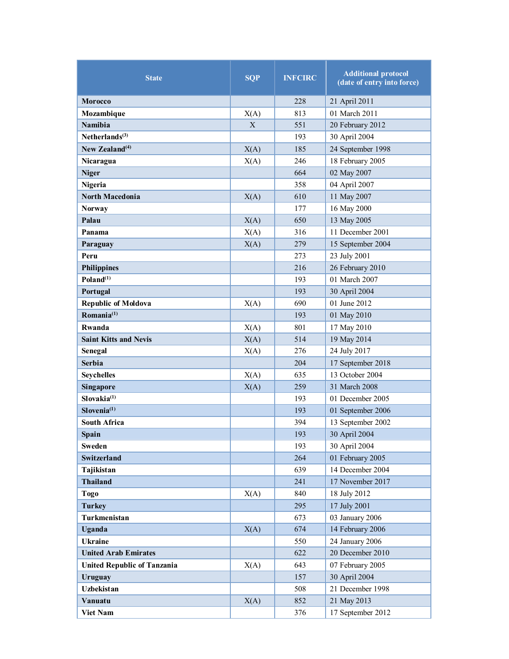| <b>State</b>                       | <b>SQP</b> | <b>INFCIRC</b> | <b>Additional protocol</b><br>(date of entry into force) |
|------------------------------------|------------|----------------|----------------------------------------------------------|
| Morocco                            |            | 228            | 21 April 2011                                            |
| Mozambique                         | X(A)       | 813            | 01 March 2011                                            |
| <b>Namibia</b>                     | X          | 551            | 20 February 2012                                         |
| Netherlands $(3)$                  |            | 193            | 30 April 2004                                            |
| New Zealand $(4)$                  | X(A)       | 185            | 24 September 1998                                        |
| Nicaragua                          | X(A)       | 246            | 18 February 2005                                         |
| <b>Niger</b>                       |            | 664            | 02 May 2007                                              |
| Nigeria                            |            | 358            | 04 April 2007                                            |
| <b>North Macedonia</b>             | X(A)       | 610            | 11 May 2007                                              |
| <b>Norway</b>                      |            | 177            | 16 May 2000                                              |
| Palau                              | X(A)       | 650            | 13 May 2005                                              |
| Panama                             | X(A)       | 316            | 11 December 2001                                         |
| Paraguay                           | X(A)       | 279            | 15 September 2004                                        |
| Peru                               |            | 273            | 23 July 2001                                             |
| <b>Philippines</b>                 |            | 216            | 26 February 2010                                         |
| Poland <sup>(1)</sup>              |            | 193            | 01 March 2007                                            |
| Portugal                           |            | 193            | 30 April 2004                                            |
| <b>Republic of Moldova</b>         | X(A)       | 690            | 01 June 2012                                             |
| Romania $^{(1)}$                   |            | 193            | 01 May 2010                                              |
| Rwanda                             | X(A)       | 801            | 17 May 2010                                              |
| <b>Saint Kitts and Nevis</b>       | X(A)       | 514            | 19 May 2014                                              |
| Senegal                            | X(A)       | 276            | 24 July 2017                                             |
| <b>Serbia</b>                      |            | 204            | 17 September 2018                                        |
| <b>Seychelles</b>                  | X(A)       | 635            | 13 October 2004                                          |
| <b>Singapore</b>                   | X(A)       | 259            | 31 March 2008                                            |
| Slovakia <sup>(1)</sup>            |            | 193            | 01 December 2005                                         |
| Slovenia <sup>(1)</sup>            |            | 193            | 01 September 2006                                        |
| <b>South Africa</b>                |            | 394            | 13 September 2002                                        |
| <b>Spain</b>                       |            | 193            | 30 April 2004                                            |
| Sweden                             |            | 193            | 30 April 2004                                            |
| <b>Switzerland</b>                 |            | 264            | 01 February 2005                                         |
| Tajikistan                         |            | 639            | 14 December 2004                                         |
| <b>Thailand</b>                    |            | 241            | 17 November 2017                                         |
| Togo                               | X(A)       | 840            | 18 July 2012                                             |
| <b>Turkey</b>                      |            | 295            | 17 July 2001                                             |
| Turkmenistan                       |            | 673            | 03 January 2006                                          |
| <b>Uganda</b>                      | X(A)       | 674            | 14 February 2006                                         |
| <b>Ukraine</b>                     |            | 550            | 24 January 2006                                          |
| <b>United Arab Emirates</b>        |            | 622            | 20 December 2010                                         |
| <b>United Republic of Tanzania</b> | X(A)       | 643            | 07 February 2005                                         |
| Uruguay                            |            | 157            | 30 April 2004                                            |
| Uzbekistan                         |            | 508            | 21 December 1998                                         |
| Vanuatu                            | X(A)       | 852            | 21 May 2013                                              |
| Viet Nam                           |            | 376            | 17 September 2012                                        |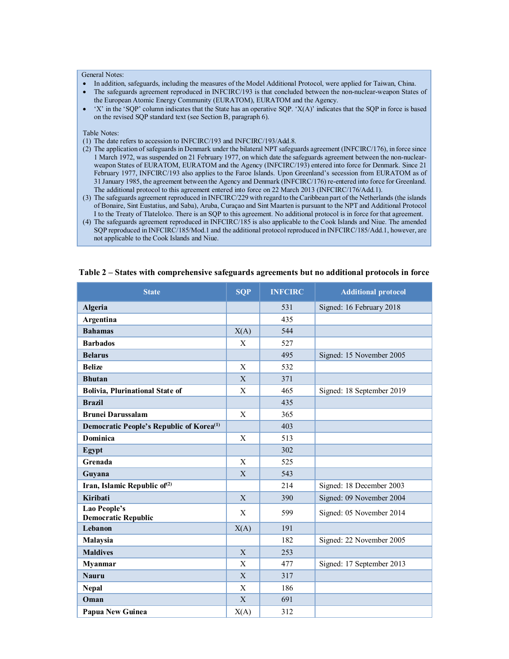#### General Notes:

- In addition, safeguards, including the measures of the Model Additional Protocol, were applied for Taiwan, China.
- The safeguards agreement reproduced in INFCIRC/193 is that concluded between the non-nuclear-weapon States of the European Atomic Energy Community (EURATOM), EURATOM and the Agency.
- 'X' in the 'SQP' column indicates that the State has an operative SQP. 'X(A)' indicates that the SQP in force is based on the revised SQP standard text (see Section B, paragraph 6).

#### Table Notes:

- (1) The date refers to accession to INFCIRC/193 and INFCIRC/193/Add.8.
- (2) The application of safeguards in Denmark under the bilateral NPT safeguards agreement (INFCIRC/176), in force since 1 March 1972, was suspended on 21 February 1977, on which date the safeguards agreement between the non-nuclearweapon States of EURATOM, EURATOM and the Agency (INFCIRC/193) entered into force for Denmark. Since 21 February 1977, INFCIRC/193 also applies to the Faroe Islands. Upon Greenland's secession from EURATOM as of 31 January 1985, the agreement between the Agency and Denmark (INFCIRC/176) re-entered into force for Greenland. The additional protocol to this agreement entered into force on 22 March 2013 (INFCIRC/176/Add.1).
- (3) The safeguards agreement reproduced in INFCIRC/229 with regard to the Caribbean part of the Netherlands (the islands of Bonaire, Sint Eustatius, and Saba), Aruba, Curaçao and Sint Maarten is pursuant to the NPT and Additional Protocol I to the Treaty of Tlatelolco. There is an SQP to this agreement. No additional protocol is in force for that agreement.
- (4) The safeguards agreement reproduced in INFCIRC/185 is also applicable to the Cook Islands and Niue. The amended SQP reproduced in INFCIRC/185/Mod.1 and the additional protocol reproduced in INFCIRC/185/Add.1, however, are not applicable to the Cook Islands and Niue.

| <b>State</b>                                         | <b>SQP</b> | <b>INFCIRC</b> | <b>Additional protocol</b> |
|------------------------------------------------------|------------|----------------|----------------------------|
| Algeria                                              |            | 531            | Signed: 16 February 2018   |
| Argentina                                            |            | 435            |                            |
| <b>Bahamas</b>                                       | X(A)       | 544            |                            |
| <b>Barbados</b>                                      | X          | 527            |                            |
| <b>Belarus</b>                                       |            | 495            | Signed: 15 November 2005   |
| <b>Belize</b>                                        | X          | 532            |                            |
| <b>Bhutan</b>                                        | X          | 371            |                            |
| <b>Bolivia, Plurinational State of</b>               | X          | 465            | Signed: 18 September 2019  |
| <b>Brazil</b>                                        |            | 435            |                            |
| <b>Brunei Darussalam</b>                             | X          | 365            |                            |
| Democratic People's Republic of Korea <sup>(1)</sup> |            | 403            |                            |
| Dominica                                             | X          | 513            |                            |
| Egypt                                                |            | 302            |                            |
| Grenada                                              | X          | 525            |                            |
| Guyana                                               | X          | 543            |                            |
| Iran, Islamic Republic of <sup>(2)</sup>             |            | 214            | Signed: 18 December 2003   |
| Kiribati                                             | X          | 390            | Signed: 09 November 2004   |
| Lao People's<br><b>Democratic Republic</b>           | X          | 599            | Signed: 05 November 2014   |
| Lebanon                                              | X(A)       | 191            |                            |
| Malaysia                                             |            | 182            | Signed: 22 November 2005   |
| <b>Maldives</b>                                      | X          | 253            |                            |
| <b>Myanmar</b>                                       | X          | 477            | Signed: 17 September 2013  |
| <b>Nauru</b>                                         | X          | 317            |                            |
| <b>Nepal</b>                                         | X          | 186            |                            |
| Oman                                                 | X          | 691            |                            |
| <b>Papua New Guinea</b>                              | X(A)       | 312            |                            |

#### **Table 2 – States with comprehensive safeguards agreements but no additional protocols in force**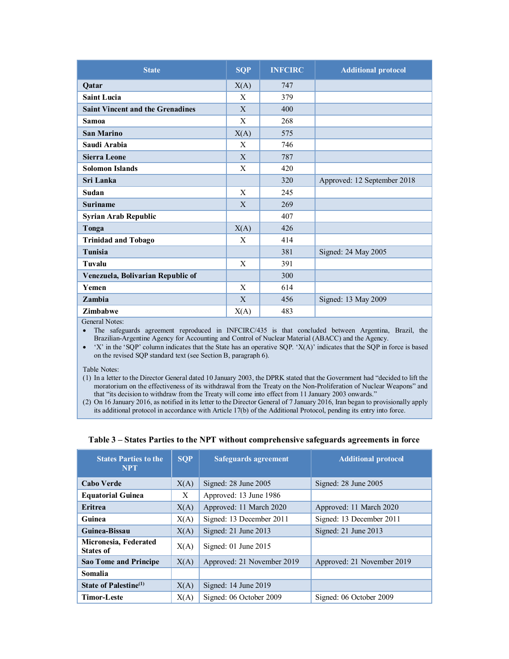| <b>State</b>                            | <b>SQP</b> | <b>INFCIRC</b> | <b>Additional protocol</b>  |
|-----------------------------------------|------------|----------------|-----------------------------|
| Qatar                                   | X(A)       | 747            |                             |
| <b>Saint Lucia</b>                      | X          | 379            |                             |
| <b>Saint Vincent and the Grenadines</b> | X          | 400            |                             |
| <b>Samoa</b>                            | X          | 268            |                             |
| <b>San Marino</b>                       | X(A)       | 575            |                             |
| Saudi Arabia                            | X          | 746            |                             |
| <b>Sierra Leone</b>                     | X          | 787            |                             |
| <b>Solomon Islands</b>                  | X          | 420            |                             |
| Sri Lanka                               |            | 320            | Approved: 12 September 2018 |
| Sudan                                   | X          | 245            |                             |
| <b>Suriname</b>                         | X          | 269            |                             |
| <b>Syrian Arab Republic</b>             |            | 407            |                             |
| Tonga                                   | X(A)       | 426            |                             |
| <b>Trinidad and Tobago</b>              | X          | 414            |                             |
| Tunisia                                 |            | 381            | Signed: 24 May 2005         |
| <b>Tuvalu</b>                           | X          | 391            |                             |
| Venezuela, Bolivarian Republic of       |            | 300            |                             |
| Yemen                                   | X          | 614            |                             |
| Zambia                                  | X          | 456            | Signed: 13 May 2009         |
| <b>Zimbabwe</b>                         | X(A)       | 483            |                             |

General Notes:

 The safeguards agreement reproduced in INFCIRC/435 is that concluded between Argentina, Brazil, the Brazilian-Argentine Agency for Accounting and Control of Nuclear Material (ABACC) and the Agency.

 'X' in the 'SQP' column indicates that the State has an operative SQP. 'X(A)' indicates that the SQP in force is based on the revised SQP standard text (see Section B, paragraph 6).

Table Notes:

(1) In a letter to the Director General dated 10 January 2003, the DPRK stated that the Government had "decided to lift the moratorium on the effectiveness of its withdrawal from the Treaty on the Non-Proliferation of Nuclear Weapons" and that "its decision to withdraw from the Treaty will come into effect from 11 January 2003 onwards."

(2) On 16 January 2016, as notified in its letter to the Director General of 7 January 2016, Iran began to provisionally apply its additional protocol in accordance with Article 17(b) of the Additional Protocol, pending its entry into force.

#### **Table 3 – States Parties to the NPT without comprehensive safeguards agreements in force**

| <b>States Parties to the</b><br><b>NPT</b> | <b>SOP</b> | <b>Safeguards agreement</b> | <b>Additional protocol</b> |
|--------------------------------------------|------------|-----------------------------|----------------------------|
| <b>Cabo Verde</b>                          | X(A)       | Signed: 28 June 2005        | Signed: 28 June 2005       |
| <b>Equatorial Guinea</b>                   | X          | Approved: 13 June 1986      |                            |
| <b>Eritrea</b>                             | X(A)       | Approved: 11 March 2020     | Approved: 11 March 2020    |
| Guinea                                     | X(A)       | Signed: 13 December 2011    | Signed: 13 December 2011   |
| Guinea-Bissau                              | X(A)       | Signed: $21$ June $2013$    | Signed: 21 June 2013       |
| Micronesia, Federated<br><b>States of</b>  | X(A)       | Signed: $01$ June $2015$    |                            |
| <b>Sao Tome and Principe</b>               | X(A)       | Approved: 21 November 2019  | Approved: 21 November 2019 |
| Somalia                                    |            |                             |                            |
| State of Palestine <sup>(1)</sup>          | X(A)       | Signed: $14$ June $2019$    |                            |
| Timor-Leste                                | X(A)       | Signed: 06 October 2009     | Signed: 06 October 2009    |